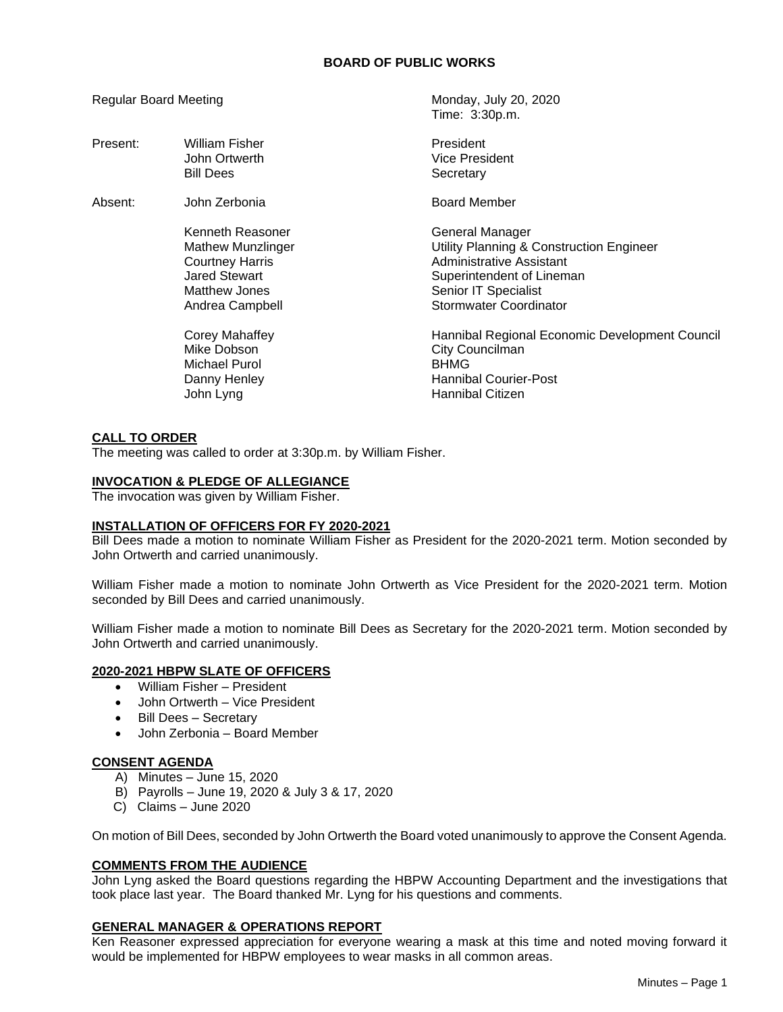Time: 3:30p.m.

Regular Board Meeting Monday, July 20, 2020

| Present: | <b>William Fisher</b><br>John Ortwerth<br><b>Bill Dees</b>                                                                         | President<br>Vice President<br>Secretary                                                                                                                               |
|----------|------------------------------------------------------------------------------------------------------------------------------------|------------------------------------------------------------------------------------------------------------------------------------------------------------------------|
| Absent:  | John Zerbonia                                                                                                                      | <b>Board Member</b>                                                                                                                                                    |
|          | Kenneth Reasoner<br><b>Mathew Munzlinger</b><br><b>Courtney Harris</b><br><b>Jared Stewart</b><br>Matthew Jones<br>Andrea Campbell | General Manager<br>Utility Planning & Construction Engineer<br>Administrative Assistant<br>Superintendent of Lineman<br>Senior IT Specialist<br>Stormwater Coordinator |
|          | Corey Mahaffey<br>Mike Dobson<br>Michael Purol<br>Danny Henley<br>John Lyng                                                        | Hannibal Regional Economic Development Council<br>City Councilman<br><b>BHMG</b><br><b>Hannibal Courier-Post</b><br>Hannibal Citizen                                   |

# **CALL TO ORDER**

The meeting was called to order at 3:30p.m. by William Fisher.

## **INVOCATION & PLEDGE OF ALLEGIANCE**

The invocation was given by William Fisher.

## **INSTALLATION OF OFFICERS FOR FY 2020-2021**

Bill Dees made a motion to nominate William Fisher as President for the 2020-2021 term. Motion seconded by John Ortwerth and carried unanimously.

William Fisher made a motion to nominate John Ortwerth as Vice President for the 2020-2021 term. Motion seconded by Bill Dees and carried unanimously.

William Fisher made a motion to nominate Bill Dees as Secretary for the 2020-2021 term. Motion seconded by John Ortwerth and carried unanimously.

## **2020-2021 HBPW SLATE OF OFFICERS**

- William Fisher President
- John Ortwerth Vice President
- Bill Dees Secretary
- John Zerbonia Board Member

# **CONSENT AGENDA**

- A) Minutes June 15, 2020
- B) Payrolls June 19, 2020 & July 3 & 17, 2020
- C) Claims June 2020

On motion of Bill Dees, seconded by John Ortwerth the Board voted unanimously to approve the Consent Agenda.

## **COMMENTS FROM THE AUDIENCE**

John Lyng asked the Board questions regarding the HBPW Accounting Department and the investigations that took place last year. The Board thanked Mr. Lyng for his questions and comments.

# **GENERAL MANAGER & OPERATIONS REPORT**

Ken Reasoner expressed appreciation for everyone wearing a mask at this time and noted moving forward it would be implemented for HBPW employees to wear masks in all common areas.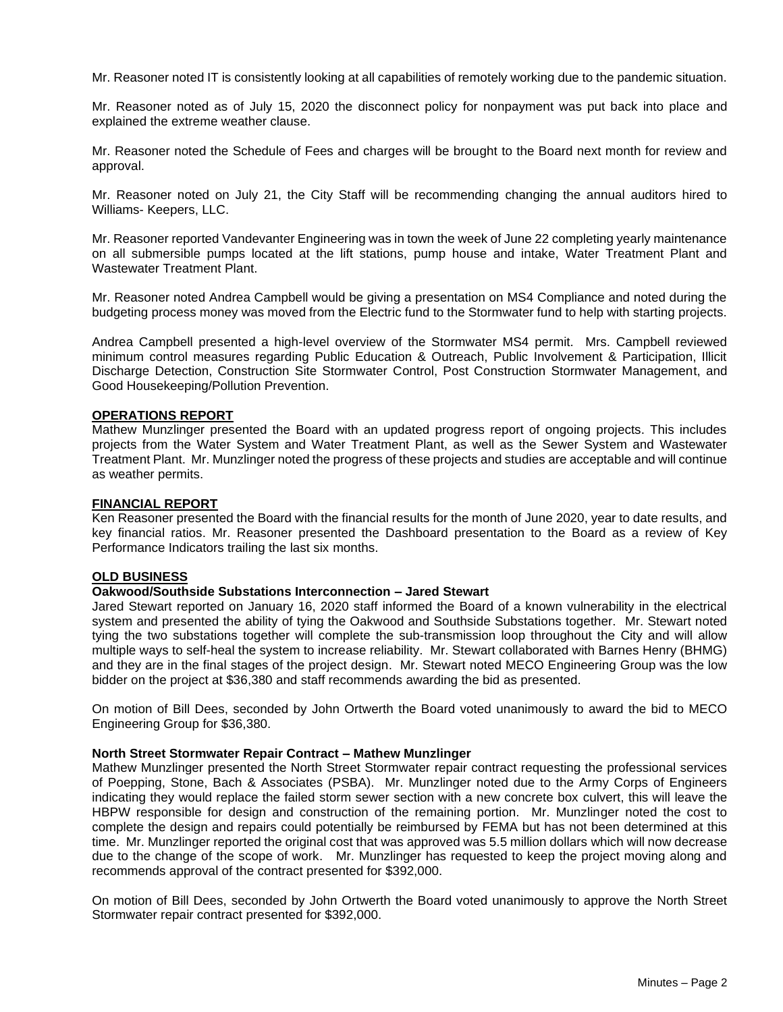Mr. Reasoner noted IT is consistently looking at all capabilities of remotely working due to the pandemic situation.

Mr. Reasoner noted as of July 15, 2020 the disconnect policy for nonpayment was put back into place and explained the extreme weather clause.

Mr. Reasoner noted the Schedule of Fees and charges will be brought to the Board next month for review and approval.

Mr. Reasoner noted on July 21, the City Staff will be recommending changing the annual auditors hired to Williams- Keepers, LLC.

Mr. Reasoner reported Vandevanter Engineering was in town the week of June 22 completing yearly maintenance on all submersible pumps located at the lift stations, pump house and intake, Water Treatment Plant and Wastewater Treatment Plant.

Mr. Reasoner noted Andrea Campbell would be giving a presentation on MS4 Compliance and noted during the budgeting process money was moved from the Electric fund to the Stormwater fund to help with starting projects.

Andrea Campbell presented a high-level overview of the Stormwater MS4 permit. Mrs. Campbell reviewed minimum control measures regarding Public Education & Outreach, Public Involvement & Participation, Illicit Discharge Detection, Construction Site Stormwater Control, Post Construction Stormwater Management, and Good Housekeeping/Pollution Prevention.

#### **OPERATIONS REPORT**

Mathew Munzlinger presented the Board with an updated progress report of ongoing projects. This includes projects from the Water System and Water Treatment Plant, as well as the Sewer System and Wastewater Treatment Plant. Mr. Munzlinger noted the progress of these projects and studies are acceptable and will continue as weather permits.

#### **FINANCIAL REPORT**

Ken Reasoner presented the Board with the financial results for the month of June 2020, year to date results, and key financial ratios. Mr. Reasoner presented the Dashboard presentation to the Board as a review of Key Performance Indicators trailing the last six months.

# **OLD BUSINESS**

## **Oakwood/Southside Substations Interconnection – Jared Stewart**

Jared Stewart reported on January 16, 2020 staff informed the Board of a known vulnerability in the electrical system and presented the ability of tying the Oakwood and Southside Substations together. Mr. Stewart noted tying the two substations together will complete the sub-transmission loop throughout the City and will allow multiple ways to self-heal the system to increase reliability. Mr. Stewart collaborated with Barnes Henry (BHMG) and they are in the final stages of the project design. Mr. Stewart noted MECO Engineering Group was the low bidder on the project at \$36,380 and staff recommends awarding the bid as presented.

On motion of Bill Dees, seconded by John Ortwerth the Board voted unanimously to award the bid to MECO Engineering Group for \$36,380.

#### **North Street Stormwater Repair Contract – Mathew Munzlinger**

Mathew Munzlinger presented the North Street Stormwater repair contract requesting the professional services of Poepping, Stone, Bach & Associates (PSBA). Mr. Munzlinger noted due to the Army Corps of Engineers indicating they would replace the failed storm sewer section with a new concrete box culvert, this will leave the HBPW responsible for design and construction of the remaining portion. Mr. Munzlinger noted the cost to complete the design and repairs could potentially be reimbursed by FEMA but has not been determined at this time. Mr. Munzlinger reported the original cost that was approved was 5.5 million dollars which will now decrease due to the change of the scope of work. Mr. Munzlinger has requested to keep the project moving along and recommends approval of the contract presented for \$392,000.

On motion of Bill Dees, seconded by John Ortwerth the Board voted unanimously to approve the North Street Stormwater repair contract presented for \$392,000.